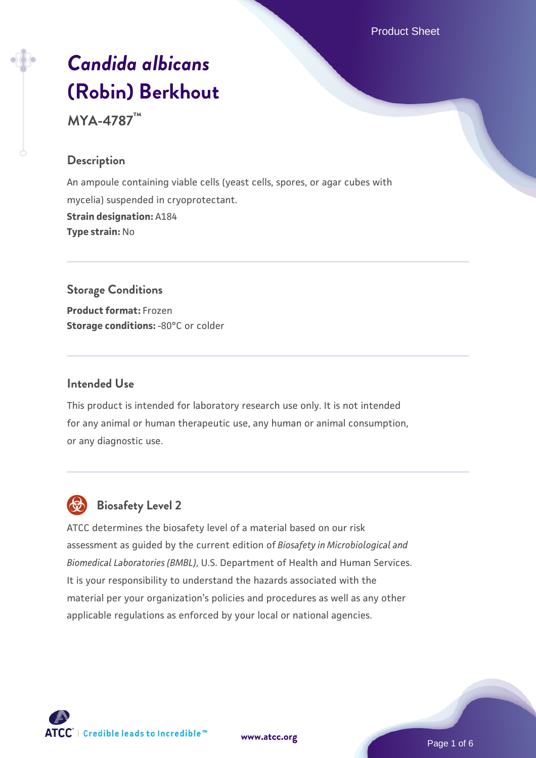Product Sheet

# *[Candida albicans](https://www.atcc.org/products/mya-4787)* **[\(Robin\) Berkhout](https://www.atcc.org/products/mya-4787)**

**MYA-4787™**

#### **Description**

An ampoule containing viable cells (yeast cells, spores, or agar cubes with mycelia) suspended in cryoprotectant. **Strain designation:** A184 **Type strain:** No

# **Storage Conditions**

**Product format:** Frozen **Storage conditions: -80°C or colder** 

#### **Intended Use**

This product is intended for laboratory research use only. It is not intended for any animal or human therapeutic use, any human or animal consumption, or any diagnostic use.



# **Biosafety Level 2**

ATCC determines the biosafety level of a material based on our risk assessment as guided by the current edition of *Biosafety in Microbiological and Biomedical Laboratories (BMBL)*, U.S. Department of Health and Human Services. It is your responsibility to understand the hazards associated with the material per your organization's policies and procedures as well as any other applicable regulations as enforced by your local or national agencies.

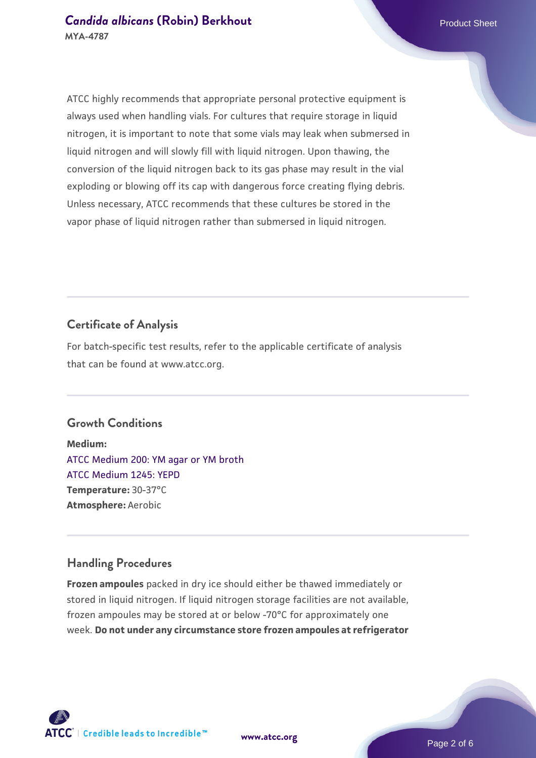ATCC highly recommends that appropriate personal protective equipment is always used when handling vials. For cultures that require storage in liquid nitrogen, it is important to note that some vials may leak when submersed in liquid nitrogen and will slowly fill with liquid nitrogen. Upon thawing, the conversion of the liquid nitrogen back to its gas phase may result in the vial exploding or blowing off its cap with dangerous force creating flying debris. Unless necessary, ATCC recommends that these cultures be stored in the vapor phase of liquid nitrogen rather than submersed in liquid nitrogen.

# **Certificate of Analysis**

For batch-specific test results, refer to the applicable certificate of analysis that can be found at www.atcc.org.

#### **Growth Conditions**

**Medium:**  [ATCC Medium 200: YM agar or YM broth](https://www.atcc.org/-/media/product-assets/documents/microbial-media-formulations/2/0/0/atcc-medium-200.pdf?rev=ac40fd74dc13433a809367b0b9da30fc) [ATCC Medium 1245: YEPD](https://www.atcc.org/-/media/product-assets/documents/microbial-media-formulations/1/2/4/5/atcc-medium-1245.pdf?rev=705ca55d1b6f490a808a965d5c072196) **Temperature:** 30-37°C **Atmosphere:** Aerobic

#### **Handling Procedures**

**Frozen ampoules** packed in dry ice should either be thawed immediately or stored in liquid nitrogen. If liquid nitrogen storage facilities are not available, frozen ampoules may be stored at or below -70°C for approximately one week. **Do not under any circumstance store frozen ampoules at refrigerator**

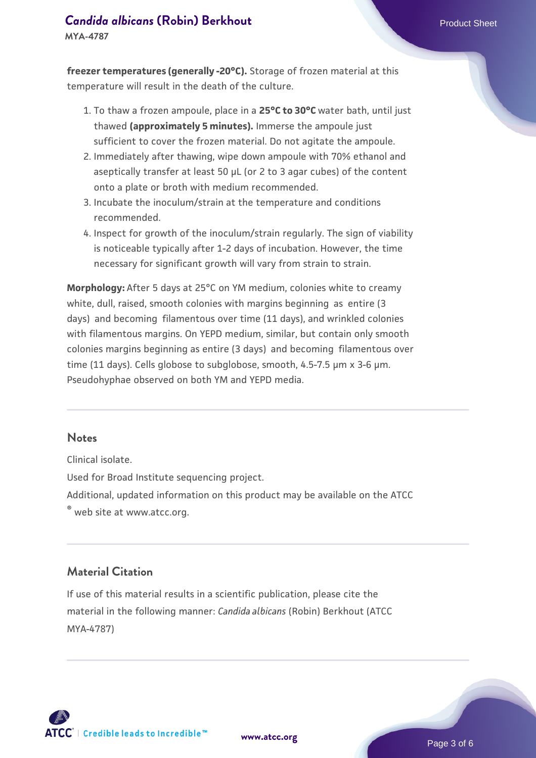**MYA-4787**

**freezer temperatures (generally -20°C).** Storage of frozen material at this temperature will result in the death of the culture.

- To thaw a frozen ampoule, place in a **25°C to 30°C** water bath, until just 1. thawed **(approximately 5 minutes).** Immerse the ampoule just sufficient to cover the frozen material. Do not agitate the ampoule.
- 2. Immediately after thawing, wipe down ampoule with 70% ethanol and aseptically transfer at least 50 µL (or 2 to 3 agar cubes) of the content onto a plate or broth with medium recommended.
- 3. Incubate the inoculum/strain at the temperature and conditions recommended.
- 4. Inspect for growth of the inoculum/strain regularly. The sign of viability is noticeable typically after 1-2 days of incubation. However, the time necessary for significant growth will vary from strain to strain.

**Morphology:** After 5 days at 25°C on YM medium, colonies white to creamy white, dull, raised, smooth colonies with margins beginning as entire (3 days) and becoming filamentous over time (11 days), and wrinkled colonies with filamentous margins. On YEPD medium, similar, but contain only smooth colonies margins beginning as entire (3 days) and becoming filamentous over time (11 days). Cells globose to subglobose, smooth, 4.5-7.5 µm x 3-6 µm. Pseudohyphae observed on both YM and YEPD media.

#### **Notes**

Clinical isolate.

Used for Broad Institute sequencing project.

Additional, updated information on this product may be available on the ATCC

® web site at www.atcc.org.

#### **Material Citation**

If use of this material results in a scientific publication, please cite the material in the following manner: *Candida albicans* (Robin) Berkhout (ATCC MYA-4787)



**[www.atcc.org](http://www.atcc.org)**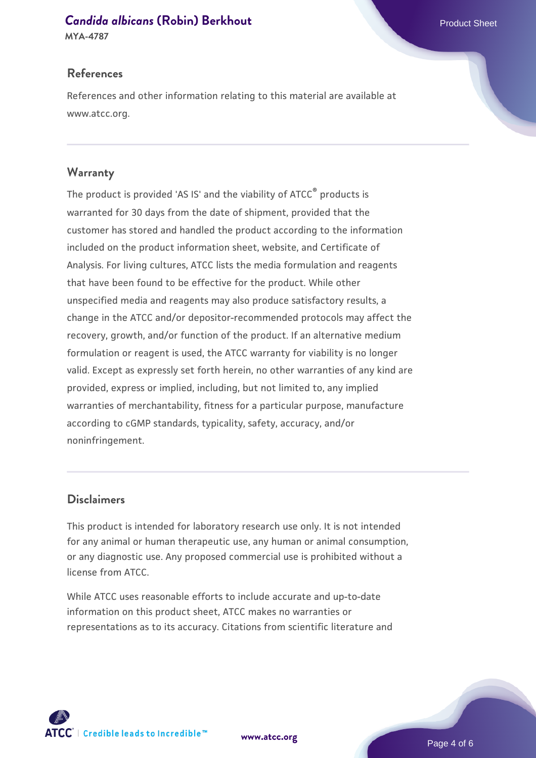#### **[Candida albicans](https://www.atcc.org/products/mya-4787) [\(Robin\) Berkhout](https://www.atcc.org/products/mya-4787) Candida albicans** (Robin) Berkhout

**MYA-4787**

#### **References**

References and other information relating to this material are available at www.atcc.org.

#### **Warranty**

The product is provided 'AS IS' and the viability of ATCC® products is warranted for 30 days from the date of shipment, provided that the customer has stored and handled the product according to the information included on the product information sheet, website, and Certificate of Analysis. For living cultures, ATCC lists the media formulation and reagents that have been found to be effective for the product. While other unspecified media and reagents may also produce satisfactory results, a change in the ATCC and/or depositor-recommended protocols may affect the recovery, growth, and/or function of the product. If an alternative medium formulation or reagent is used, the ATCC warranty for viability is no longer valid. Except as expressly set forth herein, no other warranties of any kind are provided, express or implied, including, but not limited to, any implied warranties of merchantability, fitness for a particular purpose, manufacture according to cGMP standards, typicality, safety, accuracy, and/or noninfringement.

#### **Disclaimers**

This product is intended for laboratory research use only. It is not intended for any animal or human therapeutic use, any human or animal consumption, or any diagnostic use. Any proposed commercial use is prohibited without a license from ATCC.

While ATCC uses reasonable efforts to include accurate and up-to-date information on this product sheet, ATCC makes no warranties or representations as to its accuracy. Citations from scientific literature and

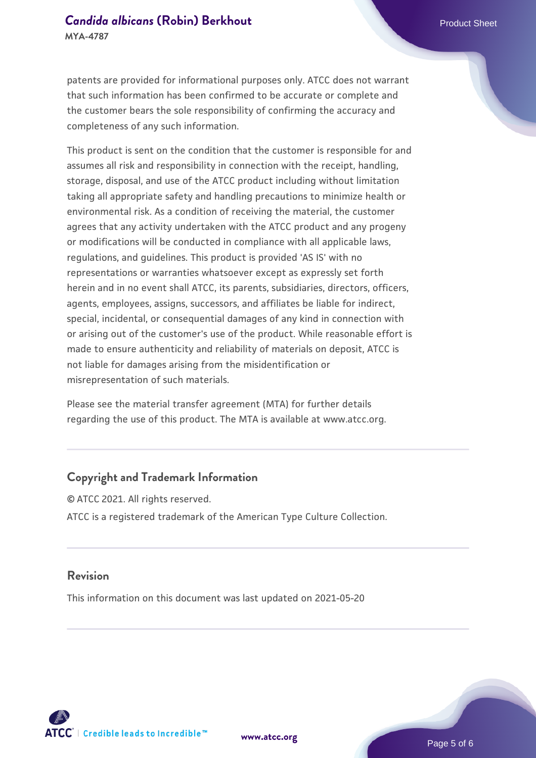patents are provided for informational purposes only. ATCC does not warrant that such information has been confirmed to be accurate or complete and the customer bears the sole responsibility of confirming the accuracy and completeness of any such information.

This product is sent on the condition that the customer is responsible for and assumes all risk and responsibility in connection with the receipt, handling, storage, disposal, and use of the ATCC product including without limitation taking all appropriate safety and handling precautions to minimize health or environmental risk. As a condition of receiving the material, the customer agrees that any activity undertaken with the ATCC product and any progeny or modifications will be conducted in compliance with all applicable laws, regulations, and guidelines. This product is provided 'AS IS' with no representations or warranties whatsoever except as expressly set forth herein and in no event shall ATCC, its parents, subsidiaries, directors, officers, agents, employees, assigns, successors, and affiliates be liable for indirect, special, incidental, or consequential damages of any kind in connection with or arising out of the customer's use of the product. While reasonable effort is made to ensure authenticity and reliability of materials on deposit, ATCC is not liable for damages arising from the misidentification or misrepresentation of such materials.

Please see the material transfer agreement (MTA) for further details regarding the use of this product. The MTA is available at www.atcc.org.

#### **Copyright and Trademark Information**

© ATCC 2021. All rights reserved. ATCC is a registered trademark of the American Type Culture Collection.

#### **Revision**

This information on this document was last updated on 2021-05-20